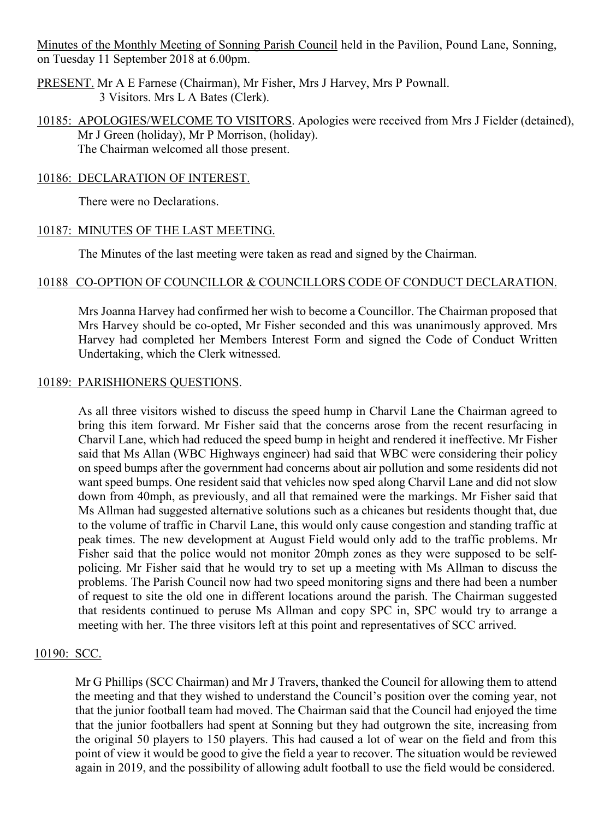Minutes of the Monthly Meeting of Sonning Parish Council held in the Pavilion, Pound Lane, Sonning, on Tuesday 11 September 2018 at 6.00pm.

- PRESENT. Mr A E Farnese (Chairman), Mr Fisher, Mrs J Harvey, Mrs P Pownall. 3 Visitors. Mrs L A Bates (Clerk).
- 10185: APOLOGIES/WELCOME TO VISITORS. Apologies were received from Mrs J Fielder (detained), Mr J Green (holiday), Mr P Morrison, (holiday). The Chairman welcomed all those present.

#### 10186: DECLARATION OF INTEREST.

There were no Declarations.

### 10187: MINUTES OF THE LAST MEETING.

The Minutes of the last meeting were taken as read and signed by the Chairman.

### 10188 CO-OPTION OF COUNCILLOR & COUNCILLORS CODE OF CONDUCT DECLARATION.

Mrs Joanna Harvey had confirmed her wish to become a Councillor. The Chairman proposed that Mrs Harvey should be co-opted, Mr Fisher seconded and this was unanimously approved. Mrs Harvey had completed her Members Interest Form and signed the Code of Conduct Written Undertaking, which the Clerk witnessed.

#### 10189: PARISHIONERS QUESTIONS.

As all three visitors wished to discuss the speed hump in Charvil Lane the Chairman agreed to bring this item forward. Mr Fisher said that the concerns arose from the recent resurfacing in Charvil Lane, which had reduced the speed bump in height and rendered it ineffective. Mr Fisher said that Ms Allan (WBC Highways engineer) had said that WBC were considering their policy on speed bumps after the government had concerns about air pollution and some residents did not want speed bumps. One resident said that vehicles now sped along Charvil Lane and did not slow down from 40mph, as previously, and all that remained were the markings. Mr Fisher said that Ms Allman had suggested alternative solutions such as a chicanes but residents thought that, due to the volume of traffic in Charvil Lane, this would only cause congestion and standing traffic at peak times. The new development at August Field would only add to the traffic problems. Mr Fisher said that the police would not monitor 20mph zones as they were supposed to be selfpolicing. Mr Fisher said that he would try to set up a meeting with Ms Allman to discuss the problems. The Parish Council now had two speed monitoring signs and there had been a number of request to site the old one in different locations around the parish. The Chairman suggested that residents continued to peruse Ms Allman and copy SPC in, SPC would try to arrange a meeting with her. The three visitors left at this point and representatives of SCC arrived.

### 10190: SCC.

Mr G Phillips (SCC Chairman) and Mr J Travers, thanked the Council for allowing them to attend the meeting and that they wished to understand the Council's position over the coming year, not that the junior football team had moved. The Chairman said that the Council had enjoyed the time that the junior footballers had spent at Sonning but they had outgrown the site, increasing from the original 50 players to 150 players. This had caused a lot of wear on the field and from this point of view it would be good to give the field a year to recover. The situation would be reviewed again in 2019, and the possibility of allowing adult football to use the field would be considered.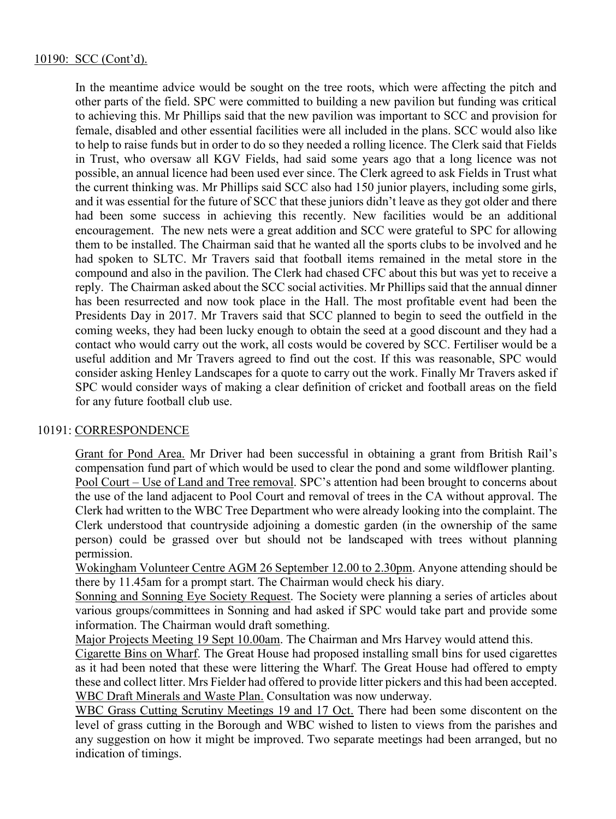In the meantime advice would be sought on the tree roots, which were affecting the pitch and other parts of the field. SPC were committed to building a new pavilion but funding was critical to achieving this. Mr Phillips said that the new pavilion was important to SCC and provision for female, disabled and other essential facilities were all included in the plans. SCC would also like to help to raise funds but in order to do so they needed a rolling licence. The Clerk said that Fields in Trust, who oversaw all KGV Fields, had said some years ago that a long licence was not possible, an annual licence had been used ever since. The Clerk agreed to ask Fields in Trust what the current thinking was. Mr Phillips said SCC also had 150 junior players, including some girls, and it was essential for the future of SCC that these juniors didn't leave as they got older and there had been some success in achieving this recently. New facilities would be an additional encouragement. The new nets were a great addition and SCC were grateful to SPC for allowing them to be installed. The Chairman said that he wanted all the sports clubs to be involved and he had spoken to SLTC. Mr Travers said that football items remained in the metal store in the compound and also in the pavilion. The Clerk had chased CFC about this but was yet to receive a reply. The Chairman asked about the SCC social activities. Mr Phillips said that the annual dinner has been resurrected and now took place in the Hall. The most profitable event had been the Presidents Day in 2017. Mr Travers said that SCC planned to begin to seed the outfield in the coming weeks, they had been lucky enough to obtain the seed at a good discount and they had a contact who would carry out the work, all costs would be covered by SCC. Fertiliser would be a useful addition and Mr Travers agreed to find out the cost. If this was reasonable, SPC would consider asking Henley Landscapes for a quote to carry out the work. Finally Mr Travers asked if SPC would consider ways of making a clear definition of cricket and football areas on the field for any future football club use.

# 10191: CORRESPONDENCE

Grant for Pond Area. Mr Driver had been successful in obtaining a grant from British Rail's compensation fund part of which would be used to clear the pond and some wildflower planting. Pool Court – Use of Land and Tree removal. SPC's attention had been brought to concerns about the use of the land adjacent to Pool Court and removal of trees in the CA without approval. The Clerk had written to the WBC Tree Department who were already looking into the complaint. The Clerk understood that countryside adjoining a domestic garden (in the ownership of the same person) could be grassed over but should not be landscaped with trees without planning permission.

Wokingham Volunteer Centre AGM 26 September 12.00 to 2.30pm. Anyone attending should be there by 11.45am for a prompt start. The Chairman would check his diary.

Sonning and Sonning Eye Society Request. The Society were planning a series of articles about various groups/committees in Sonning and had asked if SPC would take part and provide some information. The Chairman would draft something.

Major Projects Meeting 19 Sept 10.00am. The Chairman and Mrs Harvey would attend this.

Cigarette Bins on Wharf. The Great House had proposed installing small bins for used cigarettes as it had been noted that these were littering the Wharf. The Great House had offered to empty these and collect litter. Mrs Fielder had offered to provide litter pickers and this had been accepted. WBC Draft Minerals and Waste Plan. Consultation was now underway.

WBC Grass Cutting Scrutiny Meetings 19 and 17 Oct. There had been some discontent on the level of grass cutting in the Borough and WBC wished to listen to views from the parishes and any suggestion on how it might be improved. Two separate meetings had been arranged, but no indication of timings.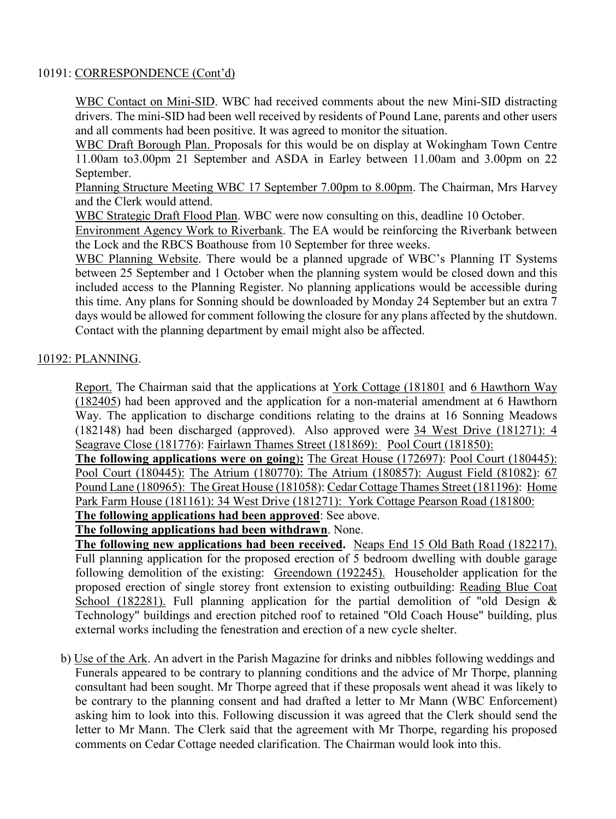## 10191: CORRESPONDENCE (Cont'd)

WBC Contact on Mini-SID. WBC had received comments about the new Mini-SID distracting drivers. The mini-SID had been well received by residents of Pound Lane, parents and other users and all comments had been positive. It was agreed to monitor the situation.

WBC Draft Borough Plan. Proposals for this would be on display at Wokingham Town Centre 11.00am to3.00pm 21 September and ASDA in Earley between 11.00am and 3.00pm on 22 September.

Planning Structure Meeting WBC 17 September 7.00pm to 8.00pm. The Chairman, Mrs Harvey and the Clerk would attend.

WBC Strategic Draft Flood Plan. WBC were now consulting on this, deadline 10 October.

Environment Agency Work to Riverbank. The EA would be reinforcing the Riverbank between the Lock and the RBCS Boathouse from 10 September for three weeks.

WBC Planning Website. There would be a planned upgrade of WBC's Planning IT Systems between 25 September and 1 October when the planning system would be closed down and this included access to the Planning Register. No planning applications would be accessible during this time. Any plans for Sonning should be downloaded by Monday 24 September but an extra 7 days would be allowed for comment following the closure for any plans affected by the shutdown. Contact with the planning department by email might also be affected.

# 10192: PLANNING.

Report. The Chairman said that the applications at York Cottage (181801 and 6 Hawthorn Way (182405) had been approved and the application for a non-material amendment at 6 Hawthorn Way. The application to discharge conditions relating to the drains at 16 Sonning Meadows (182148) had been discharged (approved). Also approved were 34 West Drive (181271): 4 Seagrave Close (181776): Fairlawn Thames Street (181869): Pool Court (181850):

**The following applications were on going**)**:** The Great House (172697): Pool Court (180445): Pool Court (180445): The Atrium (180770): The Atrium (180857): August Field (81082): 67 Pound Lane (180965): The Great House (181058): Cedar Cottage Thames Street (181196): Home Park Farm House (181161): 34 West Drive (181271): York Cottage Pearson Road (181800: **The following applications had been approved**: See above.

**The following applications had been withdrawn**. None.

**The following new applications had been received.** Neaps End 15 Old Bath Road (182217). Full planning application for the proposed erection of 5 bedroom dwelling with double garage following demolition of the existing: Greendown (192245). Householder application for the proposed erection of single storey front extension to existing outbuilding: Reading Blue Coat School (182281). Full planning application for the partial demolition of "old Design  $\&$ Technology" buildings and erection pitched roof to retained "Old Coach House" building, plus external works including the fenestration and erection of a new cycle shelter.

b) Use of the Ark. An advert in the Parish Magazine for drinks and nibbles following weddings and Funerals appeared to be contrary to planning conditions and the advice of Mr Thorpe, planning consultant had been sought. Mr Thorpe agreed that if these proposals went ahead it was likely to be contrary to the planning consent and had drafted a letter to Mr Mann (WBC Enforcement) asking him to look into this. Following discussion it was agreed that the Clerk should send the letter to Mr Mann. The Clerk said that the agreement with Mr Thorpe, regarding his proposed comments on Cedar Cottage needed clarification. The Chairman would look into this.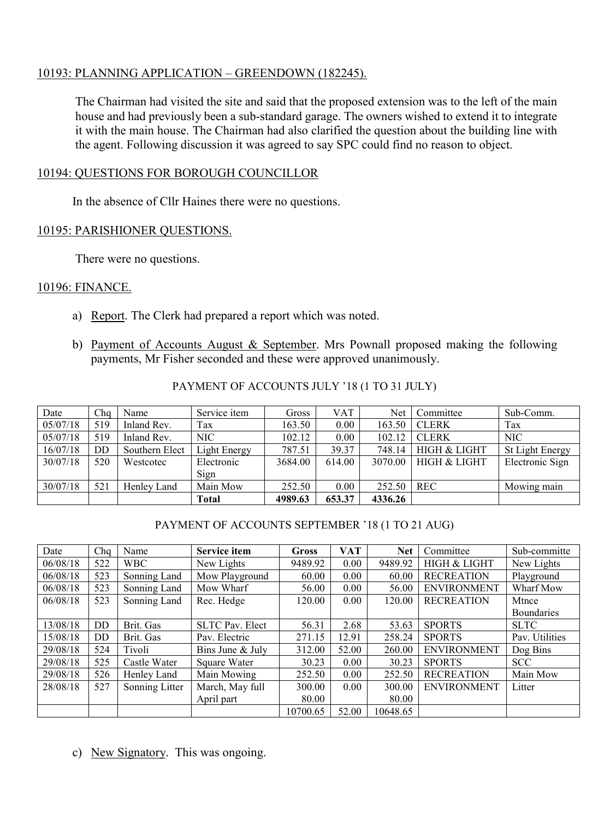# 10193: PLANNING APPLICATION – GREENDOWN (182245).

The Chairman had visited the site and said that the proposed extension was to the left of the main house and had previously been a sub-standard garage. The owners wished to extend it to integrate it with the main house. The Chairman had also clarified the question about the building line with the agent. Following discussion it was agreed to say SPC could find no reason to object.

## 10194: QUESTIONS FOR BOROUGH COUNCILLOR

In the absence of Cllr Haines there were no questions.

# 10195: PARISHIONER QUESTIONS.

There were no questions.

### 10196: FINANCE.

- a) Report. The Clerk had prepared a report which was noted.
- b) Payment of Accounts August & September. Mrs Pownall proposed making the following payments, Mr Fisher seconded and these were approved unanimously.

| Date     | Cha       | Name           | Service item | Gross   | VAT    | Net     | Committee               | Sub-Comm.       |
|----------|-----------|----------------|--------------|---------|--------|---------|-------------------------|-----------------|
| 05/07/18 | 519       | Inland Rev.    | Tax          | 163.50  | 0.00   | 163.50  | <b>CLERK</b>            | Tax             |
| 05/07/18 | 519       | Inland Rev.    | NIC          | 102.12  | 0.00   | 102.12  | <b>CLERK</b>            | <b>NIC</b>      |
| 16/07/18 | <b>DD</b> | Southern Elect | Light Energy | 787.51  | 39.37  | 748.14  | HIGH & LIGHT            | St Light Energy |
| 30/07/18 | 520       | Westcotec      | Electronic   | 3684.00 | 614.00 | 3070.00 | <b>HIGH &amp; LIGHT</b> | Electronic Sign |
|          |           |                | Sign         |         |        |         |                         |                 |
| 30/07/18 | 521       | Henley Land    | Main Mow     | 252.50  | 0.00   | 252.50  | <b>REC</b>              | Mowing main     |
|          |           |                | <b>Total</b> | 4989.63 | 653.37 | 4336.26 |                         |                 |

# PAYMENT OF ACCOUNTS JULY '18 (1 TO 31 JULY)

# PAYMENT OF ACCOUNTS SEPTEMBER '18 (1 TO 21 AUG)

| Date     | Cha       | Name           | <b>Service item</b>    | <b>Gross</b> | <b>VAT</b> | <b>Net</b> | Committee          | Sub-committe      |
|----------|-----------|----------------|------------------------|--------------|------------|------------|--------------------|-------------------|
| 06/08/18 | 522       | <b>WBC</b>     | New Lights             | 9489.92      | 0.00       | 9489.92    | HIGH & LIGHT       | New Lights        |
| 06/08/18 | 523       | Sonning Land   | Mow Playground         | 60.00        | 0.00       | 60.00      | <b>RECREATION</b>  | Playground        |
| 06/08/18 | 523       | Sonning Land   | Mow Wharf              | 56.00        | 0.00       | 56.00      | <b>ENVIRONMENT</b> | Wharf Mow         |
| 06/08/18 | 523       | Sonning Land   | Rec. Hedge             | 120.00       | 0.00       | 120.00     | <b>RECREATION</b>  | Mtnce             |
|          |           |                |                        |              |            |            |                    | <b>Boundaries</b> |
| 13/08/18 | DD        | Brit. Gas      | <b>SLTC Pav. Elect</b> | 56.31        | 2.68       | 53.63      | <b>SPORTS</b>      | <b>SLTC</b>       |
| 15/08/18 | <b>DD</b> | Brit. Gas      | Pav. Electric          | 271.15       | 12.91      | 258.24     | <b>SPORTS</b>      | Pav. Utilities    |
| 29/08/18 | 524       | Tivoli         | Bins June & July       | 312.00       | 52.00      | 260.00     | <b>ENVIRONMENT</b> | Dog Bins          |
| 29/08/18 | 525       | Castle Water   | Square Water           | 30.23        | 0.00       | 30.23      | <b>SPORTS</b>      | <b>SCC</b>        |
| 29/08/18 | 526       | Henley Land    | Main Mowing            | 252.50       | 0.00       | 252.50     | <b>RECREATION</b>  | Main Mow          |
| 28/08/18 | 527       | Sonning Litter | March, May full        | 300.00       | 0.00       | 300.00     | <b>ENVIRONMENT</b> | Litter            |
|          |           |                | April part             | 80.00        |            | 80.00      |                    |                   |
|          |           |                |                        | 10700.65     | 52.00      | 10648.65   |                    |                   |

c) New Signatory. This was ongoing.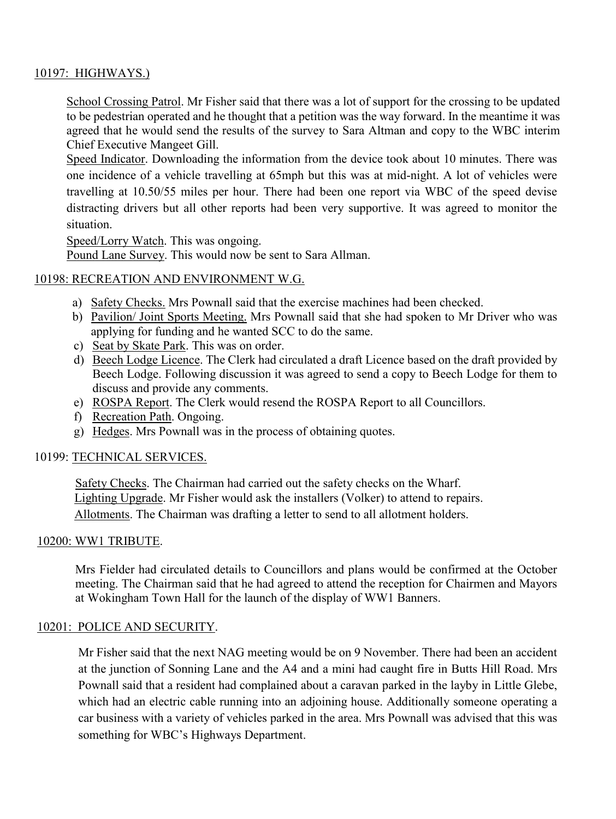# 10197: HIGHWAYS.)

School Crossing Patrol. Mr Fisher said that there was a lot of support for the crossing to be updated to be pedestrian operated and he thought that a petition was the way forward. In the meantime it was agreed that he would send the results of the survey to Sara Altman and copy to the WBC interim Chief Executive Mangeet Gill.

Speed Indicator. Downloading the information from the device took about 10 minutes. There was one incidence of a vehicle travelling at 65mph but this was at mid-night. A lot of vehicles were travelling at 10.50/55 miles per hour. There had been one report via WBC of the speed devise distracting drivers but all other reports had been very supportive. It was agreed to monitor the situation.

Speed/Lorry Watch. This was ongoing.

Pound Lane Survey. This would now be sent to Sara Allman.

### 10198: RECREATION AND ENVIRONMENT W.G.

- a) Safety Checks. Mrs Pownall said that the exercise machines had been checked.
- b) Pavilion/ Joint Sports Meeting. Mrs Pownall said that she had spoken to Mr Driver who was applying for funding and he wanted SCC to do the same.
- c) Seat by Skate Park. This was on order.
- d) Beech Lodge Licence. The Clerk had circulated a draft Licence based on the draft provided by Beech Lodge. Following discussion it was agreed to send a copy to Beech Lodge for them to discuss and provide any comments.
- e) ROSPA Report. The Clerk would resend the ROSPA Report to all Councillors.
- f) Recreation Path. Ongoing.
- g) Hedges. Mrs Pownall was in the process of obtaining quotes.

#### 10199: TECHNICAL SERVICES.

Safety Checks. The Chairman had carried out the safety checks on the Wharf. Lighting Upgrade. Mr Fisher would ask the installers (Volker) to attend to repairs. Allotments. The Chairman was drafting a letter to send to all allotment holders.

#### 10200: WW1 TRIBUTE.

Mrs Fielder had circulated details to Councillors and plans would be confirmed at the October meeting. The Chairman said that he had agreed to attend the reception for Chairmen and Mayors at Wokingham Town Hall for the launch of the display of WW1 Banners.

#### 10201: POLICE AND SECURITY.

Mr Fisher said that the next NAG meeting would be on 9 November. There had been an accident at the junction of Sonning Lane and the A4 and a mini had caught fire in Butts Hill Road. Mrs Pownall said that a resident had complained about a caravan parked in the layby in Little Glebe, which had an electric cable running into an adjoining house. Additionally someone operating a car business with a variety of vehicles parked in the area. Mrs Pownall was advised that this was something for WBC's Highways Department.